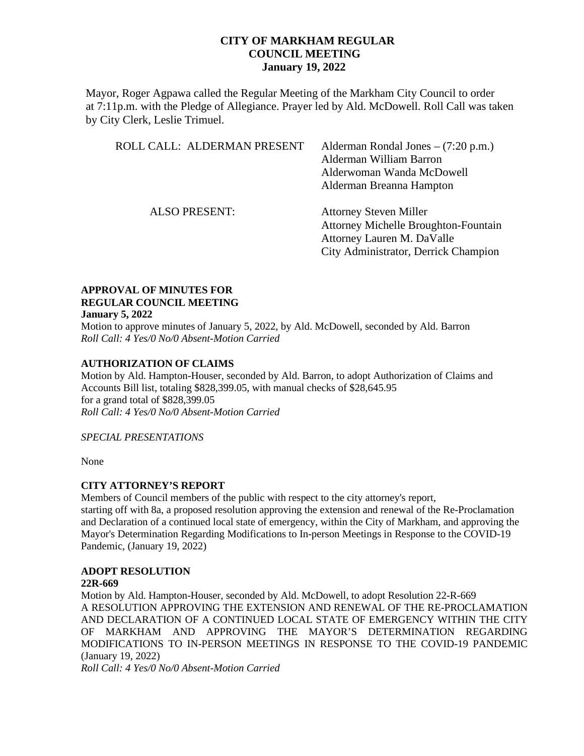Mayor, Roger Agpawa called the Regular Meeting of the Markham City Council to order at 7:11p.m. with the Pledge of Allegiance. Prayer led by Ald. McDowell. Roll Call was taken by City Clerk, Leslie Trimuel.

| ROLL CALL: ALDERMAN PRESENT | Alderman Rondal Jones $-$ (7:20 p.m.)<br>Alderman William Barron<br>Alderwoman Wanda McDowell<br>Alderman Breanna Hampton                          |
|-----------------------------|----------------------------------------------------------------------------------------------------------------------------------------------------|
| <b>ALSO PRESENT:</b>        | <b>Attorney Steven Miller</b><br><b>Attorney Michelle Broughton-Fountain</b><br>Attorney Lauren M. DaValle<br>City Administrator, Derrick Champion |

#### **APPROVAL OF MINUTES FOR REGULAR COUNCIL MEETING January 5, 2022**

Motion to approve minutes of January 5, 2022, by Ald. McDowell, seconded by Ald. Barron *Roll Call: 4 Yes/0 No/0 Absent-Motion Carried*

#### **AUTHORIZATION OF CLAIMS**

Motion by Ald. Hampton-Houser, seconded by Ald. Barron, to adopt Authorization of Claims and Accounts Bill list, totaling \$828,399.05, with manual checks of \$28,645.95 for a grand total of \$828,399.05 *Roll Call: 4 Yes/0 No/0 Absent-Motion Carried* 

*SPECIAL PRESENTATIONS*

None

#### **CITY ATTORNEY'S REPORT**

Members of Council members of the public with respect to the city attorney's report, starting off with 8a, a proposed resolution approving the extension and renewal of the Re-Proclamation and Declaration of a continued local state of emergency, within the City of Markham, and approving the Mayor's Determination Regarding Modifications to In-person Meetings in Response to the COVID-19 Pandemic, (January 19, 2022)

#### **ADOPT RESOLUTION**

#### **22R-669**

Motion by Ald. Hampton-Houser, seconded by Ald. McDowell, to adopt Resolution 22-R-669 A RESOLUTION APPROVING THE EXTENSION AND RENEWAL OF THE RE-PROCLAMATION AND DECLARATION OF A CONTINUED LOCAL STATE OF EMERGENCY WITHIN THE CITY OF MARKHAM AND APPROVING THE MAYOR'S DETERMINATION REGARDING MODIFICATIONS TO IN-PERSON MEETINGS IN RESPONSE TO THE COVID-19 PANDEMIC (January 19, 2022)

*Roll Call: 4 Yes/0 No/0 Absent-Motion Carried*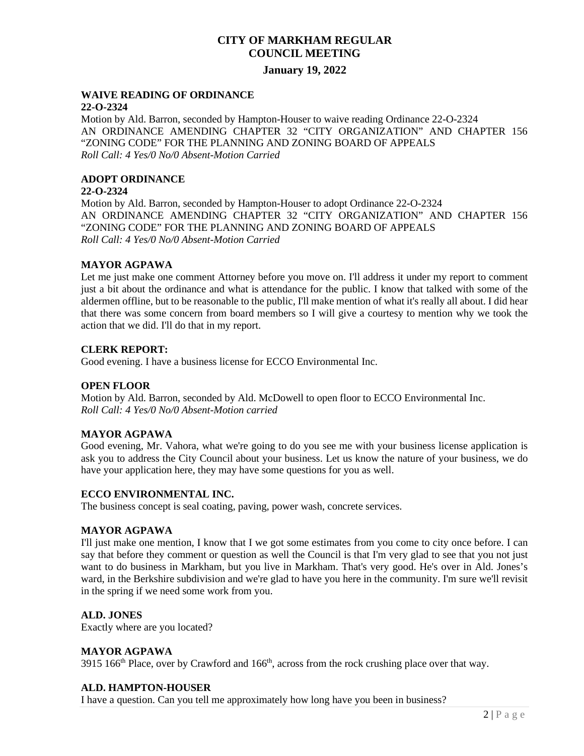# **CITY OF MARKHAM REGULAR COUNCIL MEETING**

### **January 19, 2022**

#### **WAIVE READING OF ORDINANCE 22-O-2324**

Motion by Ald. Barron, seconded by Hampton-Houser to waive reading Ordinance 22-O-2324 AN ORDINANCE AMENDING CHAPTER 32 "CITY ORGANIZATION" AND CHAPTER 156 "ZONING CODE" FOR THE PLANNING AND ZONING BOARD OF APPEALS *Roll Call: 4 Yes/0 No/0 Absent-Motion Carried* 

# **ADOPT ORDINANCE**

### **22-O-2324**

Motion by Ald. Barron, seconded by Hampton-Houser to adopt Ordinance 22-O-2324 AN ORDINANCE AMENDING CHAPTER 32 "CITY ORGANIZATION" AND CHAPTER 156 "ZONING CODE" FOR THE PLANNING AND ZONING BOARD OF APPEALS *Roll Call: 4 Yes/0 No/0 Absent-Motion Carried* 

### **MAYOR AGPAWA**

Let me just make one comment Attorney before you move on. I'll address it under my report to comment just a bit about the ordinance and what is attendance for the public. I know that talked with some of the aldermen offline, but to be reasonable to the public, I'll make mention of what it's really all about. I did hear that there was some concern from board members so I will give a courtesy to mention why we took the action that we did. I'll do that in my report.

### **CLERK REPORT:**

Good evening. I have a business license for ECCO Environmental Inc.

#### **OPEN FLOOR**

Motion by Ald. Barron, seconded by Ald. McDowell to open floor to ECCO Environmental Inc. *Roll Call: 4 Yes/0 No/0 Absent-Motion carried*

#### **MAYOR AGPAWA**

Good evening, Mr. Vahora, what we're going to do you see me with your business license application is ask you to address the City Council about your business. Let us know the nature of your business, we do have your application here, they may have some questions for you as well.

#### **ECCO ENVIRONMENTAL INC.**

The business concept is seal coating, paving, power wash, concrete services.

#### **MAYOR AGPAWA**

I'll just make one mention, I know that I we got some estimates from you come to city once before. I can say that before they comment or question as well the Council is that I'm very glad to see that you not just want to do business in Markham, but you live in Markham. That's very good. He's over in Ald. Jones's ward, in the Berkshire subdivision and we're glad to have you here in the community. I'm sure we'll revisit in the spring if we need some work from you.

#### **ALD. JONES**

Exactly where are you located?

#### **MAYOR AGPAWA**

3915 166<sup>th</sup> Place, over by Crawford and 166<sup>th</sup>, across from the rock crushing place over that way.

#### **ALD. HAMPTON-HOUSER**

I have a question. Can you tell me approximately how long have you been in business?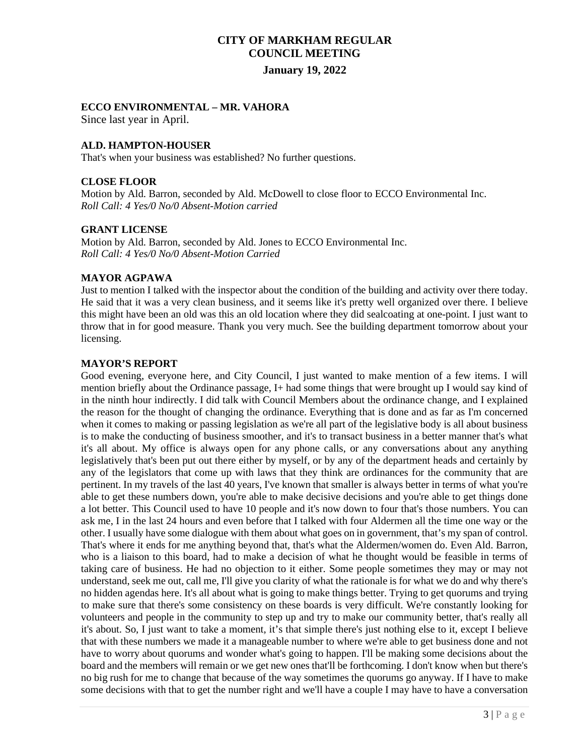#### **ECCO ENVIRONMENTAL – MR. VAHORA**

Since last year in April.

#### **ALD. HAMPTON-HOUSER**

That's when your business was established? No further questions.

#### **CLOSE FLOOR**

Motion by Ald. Barron, seconded by Ald. McDowell to close floor to ECCO Environmental Inc. *Roll Call: 4 Yes/0 No/0 Absent-Motion carried*

#### **GRANT LICENSE**

Motion by Ald. Barron, seconded by Ald. Jones to ECCO Environmental Inc. *Roll Call: 4 Yes/0 No/0 Absent-Motion Carried* 

#### **MAYOR AGPAWA**

Just to mention I talked with the inspector about the condition of the building and activity over there today. He said that it was a very clean business, and it seems like it's pretty well organized over there. I believe this might have been an old was this an old location where they did sealcoating at one-point. I just want to throw that in for good measure. Thank you very much. See the building department tomorrow about your licensing.

#### **MAYOR'S REPORT**

Good evening, everyone here, and City Council, I just wanted to make mention of a few items. I will mention briefly about the Ordinance passage, I+ had some things that were brought up I would say kind of in the ninth hour indirectly. I did talk with Council Members about the ordinance change, and I explained the reason for the thought of changing the ordinance. Everything that is done and as far as I'm concerned when it comes to making or passing legislation as we're all part of the legislative body is all about business is to make the conducting of business smoother, and it's to transact business in a better manner that's what it's all about. My office is always open for any phone calls, or any conversations about any anything legislatively that's been put out there either by myself, or by any of the department heads and certainly by any of the legislators that come up with laws that they think are ordinances for the community that are pertinent. In my travels of the last 40 years, I've known that smaller is always better in terms of what you're able to get these numbers down, you're able to make decisive decisions and you're able to get things done a lot better. This Council used to have 10 people and it's now down to four that's those numbers. You can ask me, I in the last 24 hours and even before that I talked with four Aldermen all the time one way or the other. I usually have some dialogue with them about what goes on in government, that's my span of control. That's where it ends for me anything beyond that, that's what the Aldermen/women do. Even Ald. Barron, who is a liaison to this board, had to make a decision of what he thought would be feasible in terms of taking care of business. He had no objection to it either. Some people sometimes they may or may not understand, seek me out, call me, I'll give you clarity of what the rationale is for what we do and why there's no hidden agendas here. It's all about what is going to make things better. Trying to get quorums and trying to make sure that there's some consistency on these boards is very difficult. We're constantly looking for volunteers and people in the community to step up and try to make our community better, that's really all it's about. So, I just want to take a moment, it's that simple there's just nothing else to it, except I believe that with these numbers we made it a manageable number to where we're able to get business done and not have to worry about quorums and wonder what's going to happen. I'll be making some decisions about the board and the members will remain or we get new ones that'll be forthcoming. I don't know when but there's no big rush for me to change that because of the way sometimes the quorums go anyway. If I have to make some decisions with that to get the number right and we'll have a couple I may have to have a conversation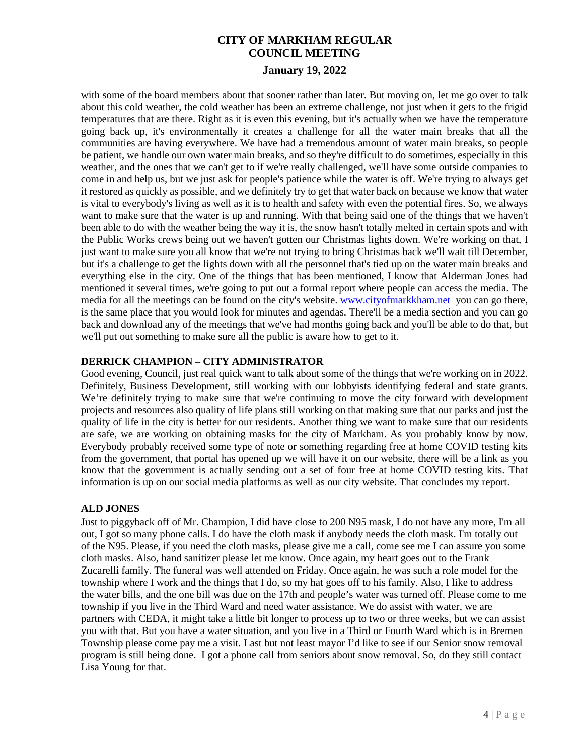with some of the board members about that sooner rather than later. But moving on, let me go over to talk about this cold weather, the cold weather has been an extreme challenge, not just when it gets to the frigid temperatures that are there. Right as it is even this evening, but it's actually when we have the temperature going back up, it's environmentally it creates a challenge for all the water main breaks that all the communities are having everywhere. We have had a tremendous amount of water main breaks, so people be patient, we handle our own water main breaks, and so they're difficult to do sometimes, especially in this weather, and the ones that we can't get to if we're really challenged, we'll have some outside companies to come in and help us, but we just ask for people's patience while the water is off. We're trying to always get it restored as quickly as possible, and we definitely try to get that water back on because we know that water is vital to everybody's living as well as it is to health and safety with even the potential fires. So, we always want to make sure that the water is up and running. With that being said one of the things that we haven't been able to do with the weather being the way it is, the snow hasn't totally melted in certain spots and with the Public Works crews being out we haven't gotten our Christmas lights down. We're working on that, I just want to make sure you all know that we're not trying to bring Christmas back we'll wait till December, but it's a challenge to get the lights down with all the personnel that's tied up on the water main breaks and everything else in the city. One of the things that has been mentioned, I know that Alderman Jones had mentioned it several times, we're going to put out a formal report where people can access the media. The media for all the meetings can be found on the city's website. [www.cityofmarkkham.net](http://www.cityofmarkkham.net/) you can go there, is the same place that you would look for minutes and agendas. There'll be a media section and you can go back and download any of the meetings that we've had months going back and you'll be able to do that, but we'll put out something to make sure all the public is aware how to get to it.

# **DERRICK CHAMPION – CITY ADMINISTRATOR**

Good evening, Council, just real quick want to talk about some of the things that we're working on in 2022. Definitely, Business Development, still working with our lobbyists identifying federal and state grants. We're definitely trying to make sure that we're continuing to move the city forward with development projects and resources also quality of life plans still working on that making sure that our parks and just the quality of life in the city is better for our residents. Another thing we want to make sure that our residents are safe, we are working on obtaining masks for the city of Markham. As you probably know by now. Everybody probably received some type of note or something regarding free at home COVID testing kits from the government, that portal has opened up we will have it on our website, there will be a link as you know that the government is actually sending out a set of four free at home COVID testing kits. That information is up on our social media platforms as well as our city website. That concludes my report.

### **ALD JONES**

Just to piggyback off of Mr. Champion, I did have close to 200 N95 mask, I do not have any more, I'm all out, I got so many phone calls. I do have the cloth mask if anybody needs the cloth mask. I'm totally out of the N95. Please, if you need the cloth masks, please give me a call, come see me I can assure you some cloth masks. Also, hand sanitizer please let me know. Once again, my heart goes out to the Frank Zucarelli family. The funeral was well attended on Friday. Once again, he was such a role model for the township where I work and the things that I do, so my hat goes off to his family. Also, I like to address the water bills, and the one bill was due on the 17th and people's water was turned off. Please come to me township if you live in the Third Ward and need water assistance. We do assist with water, we are partners with CEDA, it might take a little bit longer to process up to two or three weeks, but we can assist you with that. But you have a water situation, and you live in a Third or Fourth Ward which is in Bremen Township please come pay me a visit. Last but not least mayor I'd like to see if our Senior snow removal program is still being done. I got a phone call from seniors about snow removal. So, do they still contact Lisa Young for that.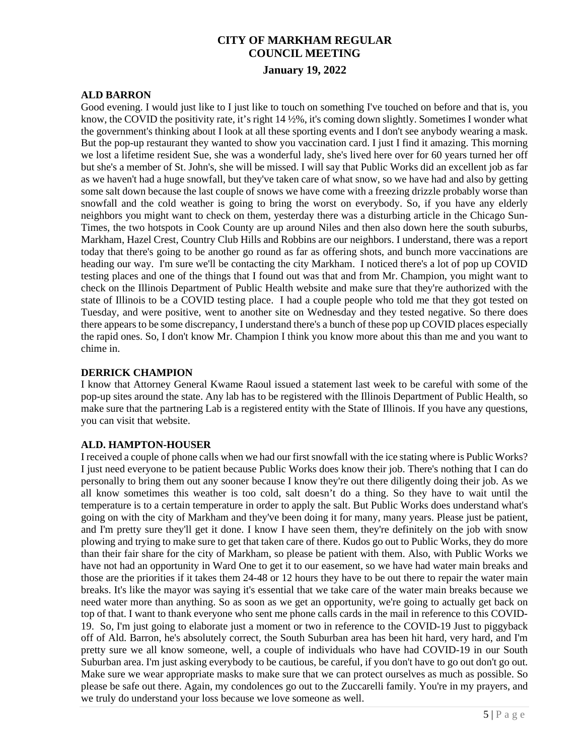### **ALD BARRON**

Good evening. I would just like to I just like to touch on something I've touched on before and that is, you know, the COVID the positivity rate, it's right 14 ½%, it's coming down slightly. Sometimes I wonder what the government's thinking about I look at all these sporting events and I don't see anybody wearing a mask. But the pop-up restaurant they wanted to show you vaccination card. I just I find it amazing. This morning we lost a lifetime resident Sue, she was a wonderful lady, she's lived here over for 60 years turned her off but she's a member of St. John's, she will be missed. I will say that Public Works did an excellent job as far as we haven't had a huge snowfall, but they've taken care of what snow, so we have had and also by getting some salt down because the last couple of snows we have come with a freezing drizzle probably worse than snowfall and the cold weather is going to bring the worst on everybody. So, if you have any elderly neighbors you might want to check on them, yesterday there was a disturbing article in the Chicago Sun-Times, the two hotspots in Cook County are up around Niles and then also down here the south suburbs, Markham, Hazel Crest, Country Club Hills and Robbins are our neighbors. I understand, there was a report today that there's going to be another go round as far as offering shots, and bunch more vaccinations are heading our way. I'm sure we'll be contacting the city Markham. I noticed there's a lot of pop up COVID testing places and one of the things that I found out was that and from Mr. Champion, you might want to check on the Illinois Department of Public Health website and make sure that they're authorized with the state of Illinois to be a COVID testing place. I had a couple people who told me that they got tested on Tuesday, and were positive, went to another site on Wednesday and they tested negative. So there does there appears to be some discrepancy, I understand there's a bunch of these pop up COVID places especially the rapid ones. So, I don't know Mr. Champion I think you know more about this than me and you want to chime in.

#### **DERRICK CHAMPION**

I know that Attorney General Kwame Raoul issued a statement last week to be careful with some of the pop-up sites around the state. Any lab has to be registered with the Illinois Department of Public Health, so make sure that the partnering Lab is a registered entity with the State of Illinois. If you have any questions, you can visit that website.

#### **ALD. HAMPTON-HOUSER**

I received a couple of phone calls when we had our first snowfall with the ice stating where is Public Works? I just need everyone to be patient because Public Works does know their job. There's nothing that I can do personally to bring them out any sooner because I know they're out there diligently doing their job. As we all know sometimes this weather is too cold, salt doesn't do a thing. So they have to wait until the temperature is to a certain temperature in order to apply the salt. But Public Works does understand what's going on with the city of Markham and they've been doing it for many, many years. Please just be patient, and I'm pretty sure they'll get it done. I know I have seen them, they're definitely on the job with snow plowing and trying to make sure to get that taken care of there. Kudos go out to Public Works, they do more than their fair share for the city of Markham, so please be patient with them. Also, with Public Works we have not had an opportunity in Ward One to get it to our easement, so we have had water main breaks and those are the priorities if it takes them 24-48 or 12 hours they have to be out there to repair the water main breaks. It's like the mayor was saying it's essential that we take care of the water main breaks because we need water more than anything. So as soon as we get an opportunity, we're going to actually get back on top of that. I want to thank everyone who sent me phone calls cards in the mail in reference to this COVID-19. So, I'm just going to elaborate just a moment or two in reference to the COVID-19 Just to piggyback off of Ald. Barron, he's absolutely correct, the South Suburban area has been hit hard, very hard, and I'm pretty sure we all know someone, well, a couple of individuals who have had COVID-19 in our South Suburban area. I'm just asking everybody to be cautious, be careful, if you don't have to go out don't go out. Make sure we wear appropriate masks to make sure that we can protect ourselves as much as possible. So please be safe out there. Again, my condolences go out to the Zuccarelli family. You're in my prayers, and we truly do understand your loss because we love someone as well.